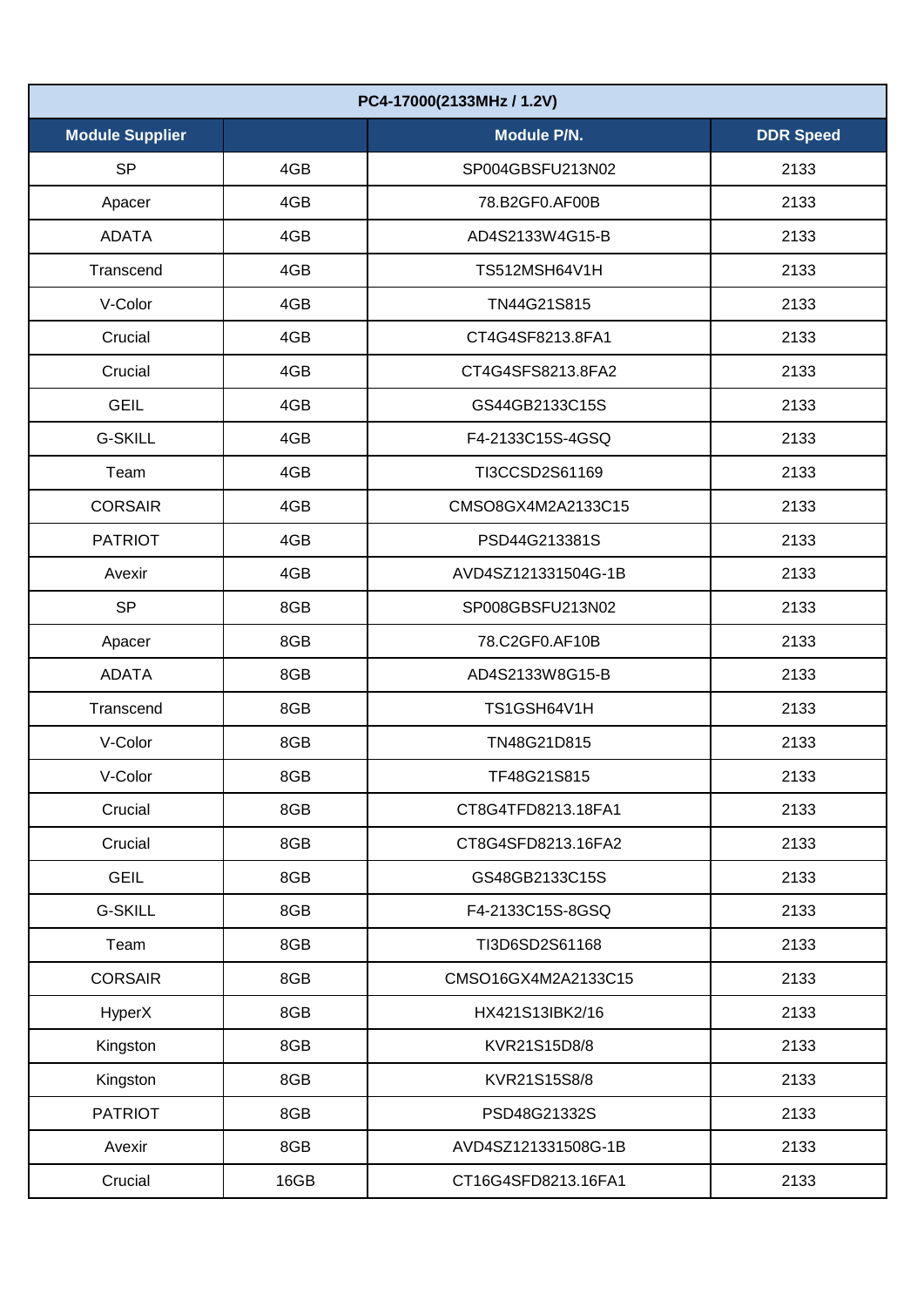| PC4-17000(2133MHz / 1.2V) |      |                     |                  |  |  |
|---------------------------|------|---------------------|------------------|--|--|
| <b>Module Supplier</b>    |      | <b>Module P/N.</b>  | <b>DDR Speed</b> |  |  |
| <b>SP</b>                 | 4GB  | SP004GBSFU213N02    | 2133             |  |  |
| Apacer                    | 4GB  | 78.B2GF0.AF00B      | 2133             |  |  |
| <b>ADATA</b>              | 4GB  | AD4S2133W4G15-B     | 2133             |  |  |
| Transcend                 | 4GB  | TS512MSH64V1H       | 2133             |  |  |
| V-Color                   | 4GB  | TN44G21S815         | 2133             |  |  |
| Crucial                   | 4GB  | CT4G4SF8213.8FA1    | 2133             |  |  |
| Crucial                   | 4GB  | CT4G4SFS8213.8FA2   | 2133             |  |  |
| <b>GEIL</b>               | 4GB  | GS44GB2133C15S      | 2133             |  |  |
| <b>G-SKILL</b>            | 4GB  | F4-2133C15S-4GSQ    | 2133             |  |  |
| Team                      | 4GB  | TI3CCSD2S61169      | 2133             |  |  |
| <b>CORSAIR</b>            | 4GB  | CMSO8GX4M2A2133C15  | 2133             |  |  |
| <b>PATRIOT</b>            | 4GB  | PSD44G213381S       | 2133             |  |  |
| Avexir                    | 4GB  | AVD4SZ121331504G-1B | 2133             |  |  |
| <b>SP</b>                 | 8GB  | SP008GBSFU213N02    | 2133             |  |  |
| Apacer                    | 8GB  | 78.C2GF0.AF10B      | 2133             |  |  |
| <b>ADATA</b>              | 8GB  | AD4S2133W8G15-B     | 2133             |  |  |
| Transcend                 | 8GB  | TS1GSH64V1H         | 2133             |  |  |
| V-Color                   | 8GB  | TN48G21D815         | 2133             |  |  |
| V-Color                   | 8GB  | TF48G21S815         | 2133             |  |  |
| Crucial                   | 8GB  | CT8G4TFD8213.18FA1  | 2133             |  |  |
| Crucial                   | 8GB  | CT8G4SFD8213.16FA2  | 2133             |  |  |
| <b>GEIL</b>               | 8GB  | GS48GB2133C15S      | 2133             |  |  |
| <b>G-SKILL</b>            | 8GB  | F4-2133C15S-8GSQ    | 2133             |  |  |
| Team                      | 8GB  | TI3D6SD2S61168      | 2133             |  |  |
| <b>CORSAIR</b>            | 8GB  | CMSO16GX4M2A2133C15 | 2133             |  |  |
| HyperX                    | 8GB  | HX421S13lBK2/16     | 2133             |  |  |
| Kingston                  | 8GB  | KVR21S15D8/8        | 2133             |  |  |
| Kingston                  | 8GB  | KVR21S15S8/8        | 2133             |  |  |
| <b>PATRIOT</b>            | 8GB  | PSD48G21332S        | 2133             |  |  |
| Avexir                    | 8GB  | AVD4SZ121331508G-1B | 2133             |  |  |
| Crucial                   | 16GB | CT16G4SFD8213.16FA1 | 2133             |  |  |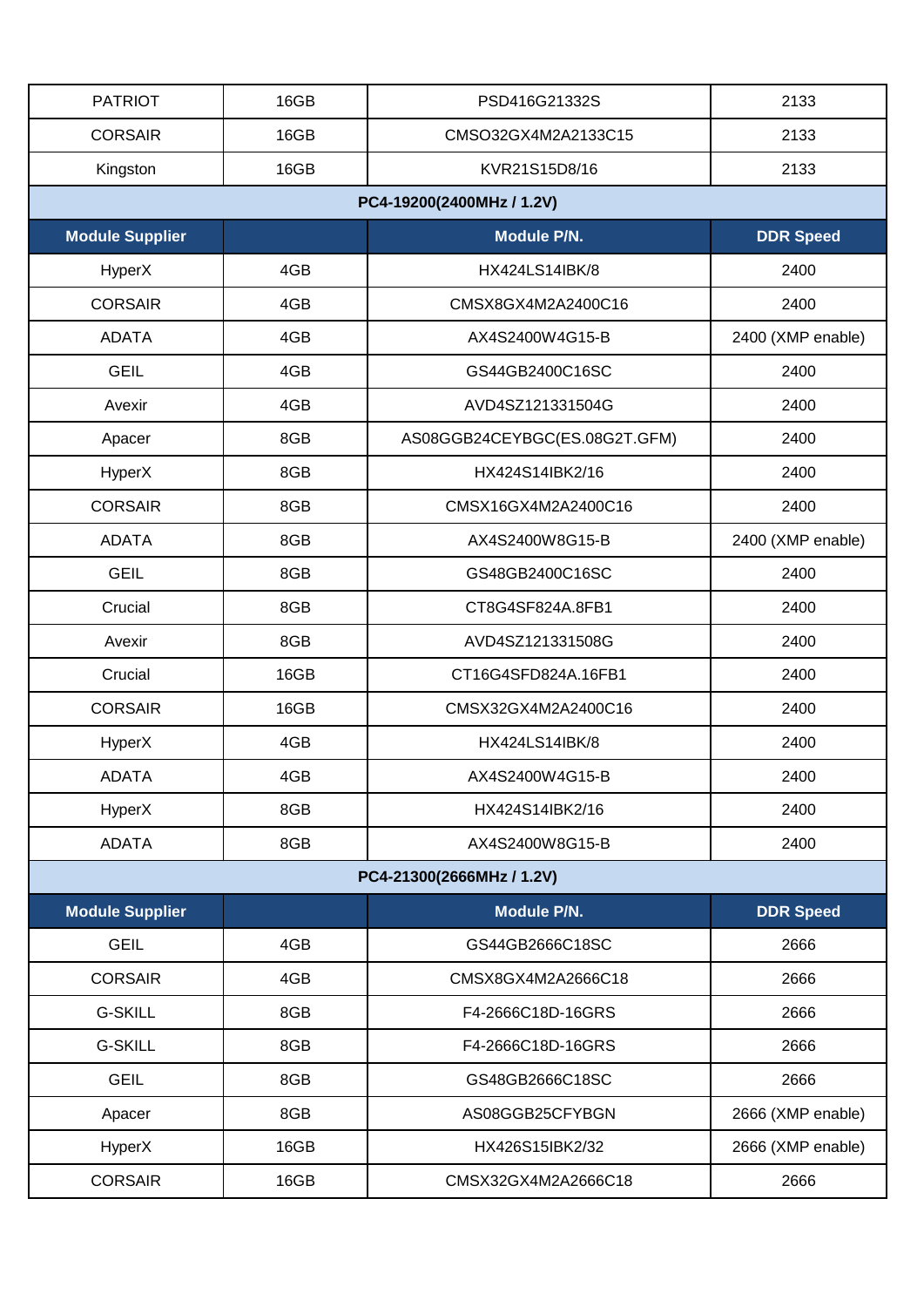| <b>PATRIOT</b>            | 16GB                      | PSD416G21332S                 | 2133              |  |  |  |
|---------------------------|---------------------------|-------------------------------|-------------------|--|--|--|
| <b>CORSAIR</b>            | 16GB                      | CMSO32GX4M2A2133C15           | 2133              |  |  |  |
| Kingston                  | 16GB                      | KVR21S15D8/16                 | 2133              |  |  |  |
| PC4-19200(2400MHz / 1.2V) |                           |                               |                   |  |  |  |
| <b>Module Supplier</b>    |                           | <b>Module P/N.</b>            | <b>DDR Speed</b>  |  |  |  |
| HyperX                    | 4GB                       | <b>HX424LS14IBK/8</b>         | 2400              |  |  |  |
| <b>CORSAIR</b>            | 4GB                       | CMSX8GX4M2A2400C16            | 2400              |  |  |  |
| <b>ADATA</b>              | 4GB                       | AX4S2400W4G15-B               | 2400 (XMP enable) |  |  |  |
| <b>GEIL</b>               | 4GB                       | GS44GB2400C16SC               | 2400              |  |  |  |
| Avexir                    | 4GB                       | AVD4SZ121331504G              | 2400              |  |  |  |
| Apacer                    | 8GB                       | AS08GGB24CEYBGC(ES.08G2T.GFM) | 2400              |  |  |  |
| HyperX                    | 8GB                       | HX424S14IBK2/16               | 2400              |  |  |  |
| <b>CORSAIR</b>            | 8GB                       | CMSX16GX4M2A2400C16           | 2400              |  |  |  |
| <b>ADATA</b>              | 8GB                       | AX4S2400W8G15-B               | 2400 (XMP enable) |  |  |  |
| <b>GEIL</b>               | 8GB                       | GS48GB2400C16SC               | 2400              |  |  |  |
| Crucial                   | 8GB                       | CT8G4SF824A.8FB1              | 2400              |  |  |  |
| Avexir                    | 8GB                       | AVD4SZ121331508G              | 2400              |  |  |  |
| Crucial                   | 16GB                      | CT16G4SFD824A.16FB1           | 2400              |  |  |  |
| <b>CORSAIR</b>            | 16GB                      | CMSX32GX4M2A2400C16           | 2400              |  |  |  |
| HyperX                    | 4GB                       | HX424LS14IBK/8                | 2400              |  |  |  |
| <b>ADATA</b>              | 4GB                       | AX4S2400W4G15-B               | 2400              |  |  |  |
| HyperX                    | 8GB                       | HX424S14IBK2/16               | 2400              |  |  |  |
| <b>ADATA</b>              | 8GB                       | AX4S2400W8G15-B               | 2400              |  |  |  |
|                           | PC4-21300(2666MHz / 1.2V) |                               |                   |  |  |  |
| <b>Module Supplier</b>    |                           | Module P/N.                   | <b>DDR Speed</b>  |  |  |  |
| <b>GEIL</b>               | 4GB                       | GS44GB2666C18SC               | 2666              |  |  |  |
| <b>CORSAIR</b>            | 4GB                       | CMSX8GX4M2A2666C18            | 2666              |  |  |  |
| <b>G-SKILL</b>            | 8GB                       | F4-2666C18D-16GRS             | 2666              |  |  |  |
| <b>G-SKILL</b>            | 8GB                       | F4-2666C18D-16GRS             | 2666              |  |  |  |
| <b>GEIL</b>               | 8GB                       | GS48GB2666C18SC               | 2666              |  |  |  |
| Apacer                    | 8GB                       | AS08GGB25CFYBGN               | 2666 (XMP enable) |  |  |  |
| HyperX                    | 16GB                      | HX426S15IBK2/32               | 2666 (XMP enable) |  |  |  |
| <b>CORSAIR</b>            | 16GB                      | CMSX32GX4M2A2666C18           | 2666              |  |  |  |